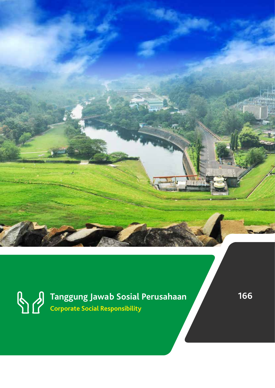

# **Tanggung Jawab Sosial Perusahaan Corporate Social Responsibility**

**166**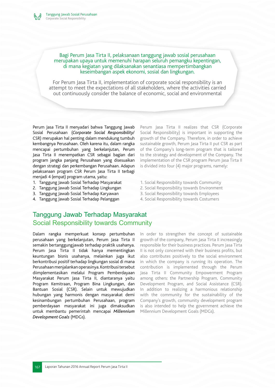### Bagi Perum Jasa Tirta II, pelaksanaan tanggung jawab sosial perusahaan merupakan upaya untuk memenuhi harapan seluruh pemangku kepentingan, di mana kegiatan yang dilaksanakan senantiasa mempertimbangkan keseimbangan aspek ekonomi, sosial dan lingkungan.

For Perum Jasa Tirta II, implementation of corporate social responsibility is an attempt to meet the expectations of all stakeholders, where the activities carried out continuously consider the balance of economic, social and environmental

Perum Jasa Tirta II menyadari bahwa Tanggung Jawab Sosial Perusahaan (*Corporate Social Responsibility*/ CSR) merupakan hal penting dalam mendukung tumbuh kembangnya Perusahaan. Oleh karena itu, dalam rangka mencapai pertumbuhan yang berkelanjutan, Perum Jasa Tirta II menempatkan CSR sebagai bagian dari program jangka panjang Perusahaan yang disesuaikan dengan strategi dan perkembangan Perusahaan. Adapun pelaksanaan program CSR Perum Jasa Tirta II terbagi menjadi 4 (empat) program utama, yaitu:

- 1. Tanggung Jawab Sosial Terhadap Masyarakat
- 2. Tanggung Jawab Sosial Terhadap Lingkungan
- 3. Tanggung Jawab Sosial Terhadap Karyawan
- 4. Tanggung Jawab Sosial Terhadap Pelanggan

### Tanggung Jawab Terhadap Masyarakat Social Responsibility towards Community

Dalam rangka memperkuat konsep pertumbuhan perusahaan yang berkelanjutan, Perum Jasa Tirta II semakin bertanggungjawab terhadap praktik usahanya. Perum Jasa Tirta II tidak hanya mementingkan keuntungan bisnis usahanya, melainkan juga ikut berkontribusi positif terhadap lingkungan sosial di mana Perusahaan menjalankan operasinya. Kontribusi tersebut diimplementasikan melalui Program Pemberdayaan Masyarakat Perum Jasa Tirta II, diantaranya yaitu Program Kemitraan, Program Bina Lingkungan, dan Bantuan Sosial (CSR). Selain untuk mewujudkan hubungan yang harmonis dengan masyarakat demi kesinambungan pertumbuhan Perusahaan, program pemberdayaan masyarakat ini juga dimaksudkan untuk membantu pemerintah mencapai *Millennium Development Goals* (MDGs).

Perum Jasa Tirta II realizes that CSR (Corporate Social Responsibility) is important in supporting the growth of the Company. Therefore, in order to achieve sustainable growth, Perum Jasa Tirta II put CSR as part of the Company's long-term program that is tailored to the strategy and development of the Company. The implementation of the CSR program Perum Jasa Tirta II is divided into four (4) major programs, namely:

- 1. Social Responsibility towards Community
- 2. Social Responsibility towards Environment
- 3. Social Responsibility towards Employees
- 4. Social Responsibility towards Costumers

In order to strengthen the concept of sustainable growth of the company, Perum Jasa Tirta II increasingly responsible for their business practices. Perum Jasa Tirta II is not only concerned with their business profits, but also contributes positively to the social environment in which the company is running its operation. The contribution is implemented through the Perum Jasa Tirta II Community Empowerment Program among others: the Partnership Program, Community Development Program, and Social Assistance (CSR). In addition to realizing a harmonious relationship with the community for the sustainability of the Company's growth, community development program is also intended to help the government achieve the Millennium Development Goals (MDGs).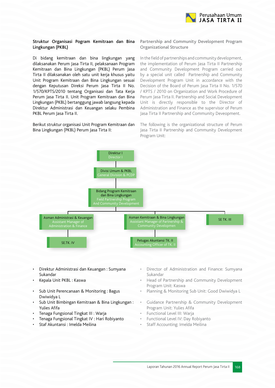

#### Struktur Organisasi Pogram Kemitraan dan Bina Lingkungan (PKBL)

Di bidang kemitraan dan bina lingkungan yang dilaksanakan Perum Jasa Tirta II, pelaksanaan Program Kemitraan dan Bina Lingkungan (PKBL) Perum Jasa Tirta II dilaksanakan oleh satu unit kerja khusus yaitu Unit Program Kemitraan dan Bina Lingkungan sesuai dengan Keputusan Direksi Perum Jasa Tirta II No. 1/570/KPTS/2010 tentang Organisasi dan Tata Kerja Perum Jasa Tirta II. Unit Program Kemitraan dan Bina Lingkungan (PKBL) bertanggung jawab langsung kepada Direktur Administrasi dan Keuangan selaku Pembina PKBL Perum Jasa Tirta II.

Berikut struktur organisasi Unit Program Kemitraan dan Bina Lingkungan (PKBL) Perum Jasa Tirta II:

Partnership and Community Development Program Organizational Structure

In the field of partnerships and community development, the implementation of Perum Jasa Tirta II Partnership and Community Development Program carried out by a special unit called Partnership and Community Development Program Unit in accordance with the Decision of the Board of Perum Jasa Tirta II No. 1/570 / KPTS / 2010 on Organization and Work Procedure of Perum Jasa Tirta II. Partnership and Social Development Unit is directly responsible to the Director of Administration and Finance as the supervisor of Perum Jasa Tirta II Partnership and Community Deveopment.

The following is the organizational structure of Perum Jasa Tirta II Partnership and Community Development Program Unit:



- Direktur Administrasi dan Keuangan : Sumyana Sukandar
- Kepala Unit PKBL : Kaswa
- Sub Unit Perencanaan & Monitoring : Bagus Dwiwidya L
- Sub Unit Bimbingan Kemitraan & Bina Lingkungan : Yulies Afifa
- Tenaga Fungsional Tingkat III : Warja
- Tenaga Fungsional Tingkat IV : Hari Robiyanto
- Staf Akuntansi : Imelda Meilina
- Director of Administration and Finance: Sumyana Sukandar
- Head of Partnership and Community Development Program Unit: Kaswa
- Planning & Monitoring Sub Unit: Good Dwiwidya L
- Guidance Partnership & Community Development Program Unit: Yulies Afifa
- **Functional Level III: Waria**
- Functional Level IV: Day Robiyanto
- Staff Accounting: Imelda Meilina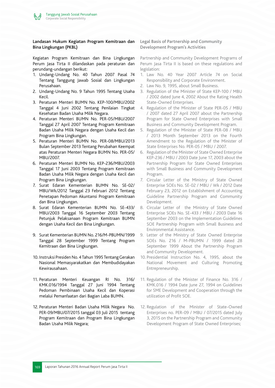

#### Landasan Hukum Kegiatan Program Kemitraan dan Bina Lingkungan (PKBL)

Kegiatan Program Kemitraan dan Bina Lingkungan Perum Jasa Tirta II dilandaskan pada peraturan dan perundang-undangan berikut:

- 1. Undang-Undang No. 40 Tahun 2007 Pasal 74 Tentang Tanggung Jawab Sosial dan Lingkungan Perusahaan.
- 2. Undang-Undang No. 9 Tahun 1995 Tentang Usaha Kecil.
- 3. Peraturan Menteri BUMN No. KEP-100/MBU/2002 Tanggal 4 Juni 2002 Tentang Penilaian Tingkat Kesehatan Badan Usaha Milik Negara.
- 4. Peraturan Menteri BUMN No. PER-05/MBU/2007 Tanggal 27 April 2007 Tentang Program Kemitraan Badan Usaha Milik Negara dengan Usaha Kecil dan Program Bina Lingkungan.
- 5. Peraturan Menteri BUMN No. PER-08/MBU/2013 Bulan September 2013 Tentang Perubahan Keempat atas Peraturan Menteri Negara BUMN No. PER-05/ MBU/2007.
- 6. Peraturan Menteri BUMN No. KEP-236/MBU/2003 Tanggal 17 Juni 2003 Tentang Program Kemitraan Badan Usaha Milik Negara dengan Usaha Kecil dan Program Bina Lingkungan.
- 7. Surat Edaran Kementerian BUMN No. SE-02/ MBU/Wk/2012 Tanggal 23 Februari 2012 Tentang Penetapan Pedoman Akuntansi Program Kemitraan dan Bina Lingkungan.
- 8. Surat Edaran Kementerian BUMN No. SE-433/ MBU/2003 Tanggal 16 September 2003 Tentang Petunjuk Pelaksanaan Program Kemitraan BUMN dengan Usaha Kecil dan Bina Lingkungan.
- 9. Surat Kementerian BUMN No. 216/M-PBUMN/1999 Tanggal 28 September 1999 Tentang Program Kemitraan dan Bina Lingkungan.
- 10. Instruksi Presiden No. 4 Tahun 1995 Tentang Gerakan Nasional Memasyarakatkan dan Membudidayakan Kewirausahaan.
- 11. Peraturan Menteri Keuangan RI No. 316/ KMK.016/1994 Tanggal 27 Juni 1994 Tentang Pedoman Pembinaan Usaha Kecil dan Koperasi melalui Pemanfaatan dari Bagian Laba BUMN.
- 12. Peraturan Menteri Badan Usaha Milik Negara No. PER-09/MBU/07/2015 tanggal 03 Juli 2015 tentang Program Kemitraan dan Program Bina Lingkungan Badan Usaha Milik Negara;

#### Legal Basis of Partnership and Community Development Program's Activities

Partnership and Community Development Programs of Perum Jasa Tirta II is based on these regulations and legislation:

- 1. Law No. 40 Year 2007 Article 74 on Social Responsibility and Corporate Environment.
- 2. Law No. 9, 1995, about Small Business.
- 3. Regulation of the Minister of State KEP-100 / MBU / 2002 dated June 4, 2002 About the Rating Health State-Owned Enterprises.
- 4. Regulation of the Minister of State PER-05 / MBU / 2007 dated 27 April 2007 about the Partnership Program for State Owned Enterprises with Small Business and Community Development Program.
- 5. Regulation of the Minister of State PER-08 / MBU / 2013 Month September 2013 on the Fourth Amendment to the Regulation of the Minister of State Enterprises No. PER-05 / MBU / 2007.
- 6. Regulation of the Minister of State Owned Enterprise KEP-236 / MBU / 2003 Date June 17, 2003 about the Partnership Program for State Owned Enterprises with Small Business and Community Development Program.
- 7. Circular Letter of the Ministry of State Owned Enterprise SOEs No. SE-02 / MBU / Wk / 2012 Date February 23, 2012 on Establishment of Accounting Guideline Partnership Program and Community Development.
- 8. Circular Letter of the Ministry of State Owned Enterprise SOEs No. SE-433 / MBU / 2003 Date 16 September 2003 on the Implementation Guidelines SOE Partnership Program with Small Business and Environmental Assistance.
- 9. Letter of the Ministry of State Owned Enterprise SOEs No. 216 / M-PBUMN / 1999 dated 28 September 1999 About the Partnership Program and Community Development.
- 10. Presidential Instruction No. 4, 1995, about the National Movement and Culturing Promoting Entrepreneurship.
- 11. Regulation of the Minister of Finance No. 316 / KMK.016 / 1994 Date June 27, 1994 on Guidelines for SME Development and Cooperation through the utilization of Profit SOE.
- 12. Regulation of the Minister of State-Owned Enterprises no. PER-09 / MBU / 07/2015 dated July 3, 2015 on the Partnership Program and Community Development Program of State Owned Enterprises;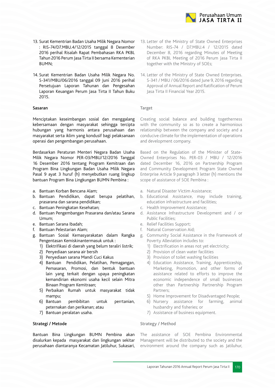

- 13. Surat Kementrian Badan Usaha Milik Negara Nomor : RIS-74/D7.MBU.4/12/2015 tanggal 8 Desember 2016 perihal Risalah Rapat Pembahasan RKA PKBL Tahun 2016 Perum Jasa Tirta II bersama Kementerian BUMN;
- 14. Surat Kementrian Badan Usaha Milik Negara No. S-341/MBU/06/2016 tanggal 09 Juni 2016 perihal Persetujuan Laporan Tahunan dan Pengesahan Laporan Keuangan Perum Jasa Tirta II Tahun Buku 2015.

#### Sasaran

Menciptakan keseimbangan sosial dan menggalang kebersamaan dengan masyarakat sehingga tercipta hubungan yang harmonis antara perusahaan dan masyarakat serta iklim yang kondusif bagi pelaksanaan operasi dan pengembangan perusahaan.

Berdasarkan Peraturan Menteri Negara Badan Usaha Milik Negara Nomor PER-03/MBU/12/2016 Tanggal 16 Desember 2016 tentang Program Kemitraan dan Program Bina Lingkungan Badan Usaha Milik Negara Pasal 9 ayat 3 huruf (h) menyebutkan ruang lingkup bantuan Program Bina Lingkungan BUMN Pembina :

- a. Bantuan Korban Bencana Alam;
- b. Bantuan Pendidikan, dapat berupa pelatihan, prasarana dan sarana pendidikan;
- c. Bantuan Peningkatan Kesehatan;
- d. Bantuan Pengembangan Prasarana dan/atau Sarana Umum;
- e. Bantuan Sarana Ibadah;
- f. Bantuan Pelestarian Alam;
- g. Bantuan Sosial Kemasyarakatan dalam Rangka Pengentasan Kemiskinantermasuk untuk :
	- 1) Elektrifikasi di daerah yang belum teraliri listrik;
	- 2) Penyediaan sarana air bersih
	- 3) Penyediaan sarana Mandi Cuci Kakus
	- 4) Bantuan Pendidikan, Pelatihan, Pemagangan, Pemasaran, Promosi, dan bentuk bantuan lain yang terkait dengan upaya peningkatan kemandirian ekonomi usaha kecil selain Mitra Binaan Program Kemitraan;
	- 5) Perbaikan Rumah untuk masyarakat tidak mampu;
	- 6) Bantuan pembibitan untuk perrtanian, peternakan dan perikanan; atau
	- 7) Bantuan peralatan usaha.

#### Strategi / Metode

Bantuan Bina Lingkungan BUMN Pembina akan disalurkan kepada masyarakat dan lingkungan sekitar perusahaan diantaranya Kecamatan Jatiluhur, Sukasari,

- 13. Letter of the Ministry of State Owned Enterprises Number: RIS-74 / D7.MBU.4 / 12/2015 dated December 8, 2016 regarding Minutes of Meeting of RKA PKBL Meeting of 2016 Perum Jasa Tirta II together with the Ministry of SOEs;
- 14. Letter of the Ministry of State Owned Enterprises. S-341 / MBU / 06/2016 dated June 9, 2016 regarding Approval of Annual Report and Ratification of Perum Jasa Tirta II Financial Year 2015.

#### Target

Creating social balance and building togetherness with the community so as to create a harmonious relationship between the company and society and a conducive climate for the implementation of operations and development company.

Based on the Regulation of the Minister of State-Owned Enterprises No. PER-03 / MBU / 12/2016 dated December 16, 2016 on Partnership Program and Community Development Program State Owned Enterprise Article 9 paragraph 3 letter (h) mentions the scope of assistance of SOE Pembina :

- a. Natural Disaster Victim Assistance;
- b. Educational Assistance, may include training, education infrastructure and facilities;
- c. Health Improvement Assistance;
- d. Assistance Infrastructure Development and / or Public Facilities;
- e. Relief Facilities Support;
- f. Natural Conservation Aid;
- g. Community Social Assistance in the Framework of Poverty Alleviation includes to:
	- 1) Electrification in areas not yet electricity;
	- 2) Provision of clean water facilities
	- 3) Provision of toilet washing facilities
	- 4) Education Assistance, Training, Apprenticeship, Marketing, Promotion, and other forms of assistance related to efforts to improve the economic independence of small businesses other than Partnership Partnership Program Partners;
	- 5) Home Improvement for Disadvantaged People;
	- 6) Nursery assistance for farming, animal husbandry and fisheries; or
	- 7) Assistance of business equipment.

#### Strategy / Method

The assistance of SOE Pembina Environmental Management will be distributed to the society and the environment around the company such as Jatiluhur,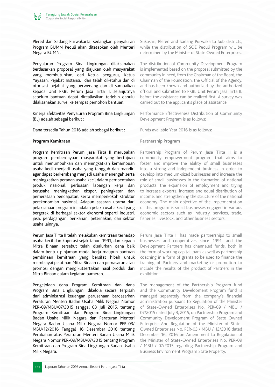Plered dan Sadang Purwakarta, sedangkan penyaluran Program BUMN Peduli akan ditetapkan oleh Menteri Negara BUMN.

Penyaluran Program Bina Lingkungan dilaksanakan berdasarkan proposal yang diajukan oleh masyarakat yang membutuhkan, dari Ketua pengurus, Ketua Yayasan, Pejabat Instansi, dan telah diketahui dan di otorisasi pejabat yang berwenang dan di sampaikan kepada Unit PKBL Perum Jasa Tirta II, selanjutnya sebelum bantuan dapat direaliasikan terlebih dahulu dilaksanakan survei ke tempat pemohon bantuan.

Kinerja Efektivitas Penyaluran Program Bina Lingkungan (BL) adalah sebagai berikut :

Dana tersedia Tahun 2016 adalah sebagai berikut :

#### Program Kemitraan

Program Kemitraan Perum Jasa Tirta II merupakan program pemberdayaan masyarakat yang bertujuan untuk menumbuhkan dan meningkatkan kemampuan usaha kecil menjadi usaha yang tangguh dan mandiri agar dapat berkembang menjadi usaha menengah serta meningkatkan peranan usaha kecil dalam pembentukan produk nasional, perluasan lapangan kerja dan berusaha meningkatkan ekspor, peningkatan dan pemerataan pendapatan, serta memperkokoh struktur perekonomian nasional. Adapun sasaran utama dari pelaksanaan program ini adalah pelaku usaha kecil yang bergerak di berbagai sektor ekonomi seperti industri, jasa, perdagangan, perikanan, peternakan, dan sektor usaha lainnya.

Perum Jasa Tirta II telah melakukan kemitraan terhadap usaha kecil dan koperasi sejak tahun 1991, dan kepada Mitra Binaan tersebut telah disalurkan dana baik dalam bentuk pinjaman modal kerja maupun bantuan pembinaan kemitraan yang bersifat hibah untuk membiayai pelatihan Mitra Binaan dan pemasaran atau promosi dengan mengikutsertakan hasil produk dari Mitra Binaan dalam kegiatan pameran.

Pengelolaan dana Program Kemitraan dan dana Program Bina Lingkungan, dikelola secara terpisah dari administrasi keuangan perusahaan berdasarkan Peraturan Menteri Badan Usaha Milik Negara Nomor PER-09/MBU/07/2015 tanggal 03 Juli 2015, tentang Program Kemitraan dan Program Bina Lingkungan Badan Usaha Milik Negara dan Peraturan Menteri Negara Badan Usaha Milik Negara Nomor PER-03/ MBU/12/2016 Tanggal 16 Desember 2016 tentang Perubahan atas Peraturan Menteri Badan Usaha Milik Negara Nomor PER-09/MBU/07/2015 tentang Program Kemitraan dan Program Bina Lingkungan Badan Usaha Milik Negara.

Sukasari, Plered and Sadang Purwakarta Sub-districts, while the distribution of SOE Peduli Program will be determined by the Minister of State Owned Enterprises.

The distribution of Community Development Program is implemented based on the proposal submitted by the community in need, from the Chairman of the Board, the Chairman of the Foundation, the Official of the Agency, and has been known and authorized by the authorized official and submitted to PKBL Unit Perum Jasa Tirta II, before the assistance can be realized first. A survey was carried out to the applicant's place of assistance.

Performance Effectiveness Distribution of Community Development Program is as follows:

Funds available Year 2016 is as follows:

#### Partnership Program

Partnership Program of Perum Jasa Tirta II is a community empowerment program that aims to foster and improve the ability of small businesses into a strong and independent business in order to develop into medium-sized businesses and increase the role of small businesses in the formation of national products, the expansion of employment and trying to increase exports, increase and equal distribution of income, and strengthening the structure of the national economy. The main objective of the implementation of this program is small businesses engaged in various economic sectors such as industry, services, trade, fisheries, livestock, and other business sectors.

Perum Jasa Tirta II has made partnerships to small businesses and cooperatives since 1991, and the Development Partners has channeled funds, both in the form of working capital loans as well as partnership coaching in a form of grants to be used to finance the training of Partners and marketing or promotion to include the results of the product of Partners in the exhibition.

The management of the Partnership Program fund and the Community Development Program fund is managed separately from the company's financial administration pursuant to Regulation of the Minister of State-Owned Enterprises No. PER-09 / MBU / 07/2015 dated July 3, 2015, on Partnership Program and Community Development Program of State Owned Enterprise And Regulation of the Minister of State-Owned Enterprises No. PER-03 / MBU / 12/2016 dated December 16, 2016 on Amendment to Regulation of the Minister of State-Owned Enterprises No. PER-09 / MBU / 07/2015 regarding Partnership Program and Business Environment Program State Property.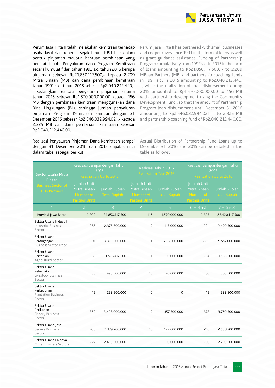

Perum Jasa Tirta II telah melakukan kemitraan terhadap usaha kecil dan koperasi sejak tahun 1991 baik dalam bentuk pinjaman maupun bantuan pembinaan yang bersifat hibah. Penyaluran dana Program Kemitraan secara kumulatif dari tahun 1992 s.d. tahun 2015 berupa pinjaman sebesar Rp21.850.117.500,- kepada 2.209 Mitra Binaan (MB) dan dana pembinaan kemitraan tahun 1991 s.d. tahun 2015 sebesar Rp2.040.212.440,- , sedangkan realisasi penyaluran pinjaman selama tahun 2015 sebesar Rp1.570.000.000,00 kepada 156 MB dengan pembinaan kemitraan menggunakan dana Bina Lingkungan (BL), sehingga jumlah penyaluran pinjaman Program Kemitraan sampai dengan 31 Desember 2016 sebesar Rp2.546.032.994.021,- kepada 2.325 MB dan dana pembinaan kemitraan sebesar Rp2.040.212.440,00.

Realisasi Penyaluran Pinjaman Dana Kemitraan sampai dengan 31 Desember 2016 dan 2015 dapat dirinci dalam tabel sebagai berikut:

Perum Jasa Tirta II has partnered with small businesses and cooperatives since 1991 in the form of loans as well as grant guidance assistance. Funding of Partnership Program cumulatively from 1992 s.d. In 2015 in the form of loans amounting to Rp21,850,117,500, - to 2,209 MBaan Partners (MB) and partnership coaching funds in 1991 s.d. In 2015 amounting to Rp2,040,212,440, -, while the realization of loan disbursement during 2015 amounted to Rp1.570.000.000,00 to 156 MB with partnership development using the Community Development Fund , so that the amount of Partnership Program loan disbursement until December 31 2016 amounting to Rp2,546,032,994,021, - to 2,325 MB and partnership coaching fund of Rp2,040,212,440.00.

Actual Distribution of Partnership Fund Loans up to December 31, 2016 and 2015 can be detailed in the table as follows:

| Sektor Usaha Mitra<br><b>Binaan</b><br><b>Business Sector of</b><br><b>BDS Partners</b> | Realisasi Sampai dengan Tahun<br>2015<br><b>Realization Up to 2015</b> |                                      | Realisasi Tahun 2016<br><b>Realization Year 2016</b>             |                                      | Realisasi Sampai dengan Tahun<br>2016<br><b>Realization Up to 2016</b> |                                      |
|-----------------------------------------------------------------------------------------|------------------------------------------------------------------------|--------------------------------------|------------------------------------------------------------------|--------------------------------------|------------------------------------------------------------------------|--------------------------------------|
|                                                                                         | Jumlah Unit<br>Mitra Binaan<br>Number of<br><b>Partner Units</b>       | Jumlah Rupiah<br><b>Total Rupiah</b> | Jumlah Unit<br>Mitra Binaan<br>Number of<br><b>Partner Units</b> | Jumlah Rupiah<br><b>Total Rupiah</b> | Jumlah Unit<br>Mitra Binaan<br>Number of<br>Partner Units              | Jumlah Rupiah<br><b>Total Rupiah</b> |
| 1                                                                                       | $\overline{2}$                                                         | $\overline{3}$                       | $\overline{4}$                                                   | 5                                    | $6 = 4 + 2$                                                            | $7 = 5 + 3$                          |
| I. Provinsi Jawa Barat                                                                  | 2.209                                                                  | 21.850.117.500                       | 116                                                              | 1.570.000.000                        | 2.325                                                                  | 23.420.117.500                       |
| Sektor Usaha Industri<br><b>Industrial Business</b><br>Sector                           | 285                                                                    | 2.375.500.000                        | 9                                                                | 115.000.000                          | 294                                                                    | 2.490.500.000                        |
| Sektor Usaha<br>Perdagangan<br><b>Business Sector Trade</b>                             | 801                                                                    | 8.828.500.000                        | 64                                                               | 728.500.000                          | 865                                                                    | 9.557.000.000                        |
| Sektor Usaha<br>Pertanian<br>Agricultural Sector                                        | 263                                                                    | 1.526.417.500                        | 1                                                                | 30.000.000                           | 264                                                                    | 1.556.500.000                        |
| Sektor Usaha<br>Peternakan<br>Livestock Business<br>Sector                              | 50                                                                     | 496.500.000                          | 10                                                               | 90.000.000                           | 60                                                                     | 586.500.000                          |
| Sektor Usaha<br>Perkebunan<br><b>Plantation Business</b><br>Sector                      | 15                                                                     | 222.500.000                          | $\mathbf 0$                                                      | $\Omega$                             | 15                                                                     | 222.500.000                          |
| Sektor Usaha<br>Perikanan<br><b>Fishery Business</b><br>Sector                          | 359                                                                    | 3.403.000.000                        | 19                                                               | 357.500.000                          | 378                                                                    | 3.760.500.000                        |
| Sektor Usaha Jasa<br>Service Business<br>Sector                                         | 208                                                                    | 2.379.700.000                        | 10                                                               | 129.000.000                          | 218                                                                    | 2.508.700.000                        |
| Sektor Usaha Lainnya<br><b>Other Business Sectors</b>                                   | 227                                                                    | 2.610.500.000                        | 3                                                                | 120.000.000                          | 230                                                                    | 2.730.500.000                        |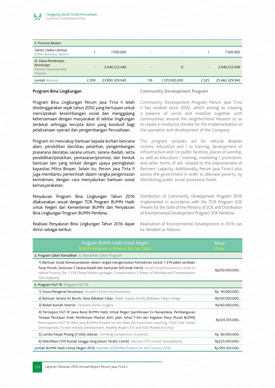

| II. Provinsi Banten                                                |       |                |                          |                          |       |                |
|--------------------------------------------------------------------|-------|----------------|--------------------------|--------------------------|-------|----------------|
| Sektor Usaha Lainnya<br>Other Business Sectors                     |       | 7.500.000      | -                        | $\overline{\phantom{0}}$ |       | 7.500.000      |
| III. Dana Pembinaan<br>Kemitraan<br>Partner Development<br>Finance |       | 2.040.212.440  | $\overline{\phantom{a}}$ | $\Omega$                 |       | 2.040.212.440  |
| Jumlah Amount                                                      | 2.209 | 23.890.329.940 | 116                      | 1.570.000.000            | 2.325 | 25.460.329.940 |

#### Program Bina Lingkungan

Program Bina Lingkungan Perum Jasa Tirta II telah diselenggarakan sejak tahun 2002 yang bertujuan untuk menciptakan keseimbangan sosial dan menggalang kebersamaan dengan masyarakat di sekitar lingkungan terdekat sehingga tercipta iklim yang kondusif bagi pelaksanaan operasi dan pengembangan Perusahaan.

Program ini mencakup bantuan kepada korban bencana alam, pendidikan dan/atau pelatihan, pengembangan prasarana dan/atau sarana umum, sarana ibadah, serta pendidikan/pelatihan, pemasaran/promosi, dan bentuk bantuan lain yang terkait dengan upaya peningkatan kapasitas Mitra Binaan. Selain itu, Perum Jasa Tirta II juga membantu pemerintah dalam rangka pengentasan kemiskinan, dengan cara menyalurkan bantuan sosial kemasyarakatan.

Penyaluran Program Bina Lingkungan Tahun 2016 dilaksanakan sesuai dengan TOR Program BUMN Hadir untuk Negeri dari Kementerian BUMN dan Penyaluran Bina Lingkungan Program BUMN Pembina.

Realisasi Penyaluran Bina Lingkungan Tahun 2016 dapat dirinci sebagai berikut:

#### Community Development Program

Community Development Program Perum Jasa Tirta II has worked since 2002, which aiming to creating a balance of social and mobilize together with communities around the neighborhood Nearest so as to create a conducive climate for the implementation of the operation and development of the Company.

The program includes aid for natural disaster victims, education and / or training, development of infrastructure and / or public facilities, places of worship, as well as education / training, marketing / promotion, and other forms of aid related to the improvement of Partners' capacity. Additionally, Perum Jasa Tirta II also assists the government in order to alleviate poverty, by distributing public social assistance funds.

Distribution of Community Development Program 2016 implemented in accordance with the TOR Program SOE Present for the State of the Ministry of SOE and Distribution of Environmental Development Program SOE Pembina.

Realization of Environmental Development in 2016 can be detailed as follows:

| Program BUMN Hadir Untuk Negeri<br><b>BUMN Program is Present for the State</b>                                                                                                                                                                                                                                                                                                                  | <b>Biaya</b><br><b>Price</b> |
|--------------------------------------------------------------------------------------------------------------------------------------------------------------------------------------------------------------------------------------------------------------------------------------------------------------------------------------------------------------------------------------------------|------------------------------|
| a. Program Safari Ramadhan A. Ramadhan Safari Program                                                                                                                                                                                                                                                                                                                                            |                              |
| 1) Bantuan Sosial Kemasyarakatan dalam rangka mengentaskan Kemiskinan (untuk 1.319 paket sembako<br>Pasar Murah, Santunan 5 Sarana Ibadah dan Santunan 500 Anak Yatim) Social Social Assistance in order to<br>reduce Poverty (for 1,319 Cheap Market packages, Compensation 5 Means of Worship and Compensation<br>500 Orphans)                                                                 | Rp250.000.000,-              |
| b. Program HUT RI Program HUT RI                                                                                                                                                                                                                                                                                                                                                                 |                              |
| 1) Siswa Mengenal Nusantara Students Know the Nusantara                                                                                                                                                                                                                                                                                                                                          | Rp 40.000.000,-              |
| 2) Bantuan Sarana Air Bersih, Desa Babakan Cikao Water Supply Facility, Babakan Cikao Village                                                                                                                                                                                                                                                                                                    | Rp100.000.000,-              |
| 3) Bedah Rumah Veteran Veterans Home Surgery                                                                                                                                                                                                                                                                                                                                                     | Rp160.000.000,-              |
| 4) Partisipasi HUT RI Jawa Barat BUMN Hadir Untuk Negeri (pembinaan Ex Narapidana, Pembangunan<br>Tempat Penitipan Anak, Pembinaan Mantan Atlit, Jalan Sehat 5 Km dan Kegiatan Pasar Murah BUMN)<br>Participation HUT RI West Java BUMNs Present for the State (Ex Executives coaching, Child Care Center<br>Development, Former Athlete Development, Healthy Road 5 Km and SOE Market Activity) | Rp124.333.000,-              |
| 5) Lomba Panjat Pinang (3 titik) sebesar Climbing Competition (3 points)                                                                                                                                                                                                                                                                                                                         | Rp 60.000.000,-              |
| 6) Elektifikasi (150 Rumah tangga Yang belum Teraliri Listrik) Elective (150 Unmet Houseplants)                                                                                                                                                                                                                                                                                                  | Rp225.000.000,-              |
| Jumlah BUMN Hadir Untuk Negeri 2016 Number of BUMNs Present For the Country 2016                                                                                                                                                                                                                                                                                                                 | Rp.959.333.000,-             |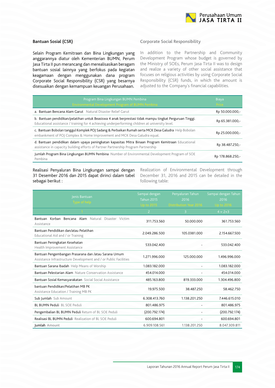

#### Bantuan Sosial (CSR)

Selain Program Kemitraan dan Bina Lingkungan yang anggarannya diatur oleh Kementerian BUMN, Perum Jasa Tirta II pun merancang dan merealisasikan beragam bantuan sosial lainnya yang berfokus pada kegiatan keagamaan dengan menggunakan dana program Corporate Social Responsibility (CSR) yang besarnya disesuaikan dengan kemampuan keuangan Perusahaan.

#### Corporate Social Responsibility

In addition to the Partnership and Community Development Program whose budget is governed by the Ministry of SOEs, Perum Jasa Tirta II was to design and realize a variety of other social assistance that focuses on religious activities by using Corporate Social Responsibility (CSR) funds, in which the amount is adjusted to the Company's financial capabilities.

| Program Bina Lingkungan BUMN Pembina                                                                                                                                                                       | <b>Biaya</b>     |
|------------------------------------------------------------------------------------------------------------------------------------------------------------------------------------------------------------|------------------|
| <b>Environmental Development Program of BUMN Pembina</b>                                                                                                                                                   | <b>Price</b>     |
| a. Bantuan Bencana Alam Garut Natural Disaster Relief Garut                                                                                                                                                | Rp 50,000,000,-  |
| b. Bantuan pendidikan/pelatihan untuk Beasiswa 4 anak berprestasi tidak mampu tingkat Perguruan Tinggi.<br>Educational assistance / training for 4 achieving underperforming children at university level. | Rp 65.381.000,-  |
| c. Bantuan Bobolan tanggul Komplek POJ Sadang & Perbaikan Rumah serta MCK Desa Galudra Help Bobolan<br>embankment of POJ Complex & Home Improvement and MCK Desa Galudra equal.                            | Rp 25.000.000,-  |
| d. Bantuan pendidikan dalam upaya peningkatan kapasitas Mitra Binaan Program Kemitraan Educational<br>assistance in capacity building efforts of Partner Partnership Program Partnership                   | Rp 38.487.250,-  |
| Jumlah Program Bina Lingkungan BUMN Pembina Number of Environmental Development Program of SOE<br>Pembina                                                                                                  | Rp 178.868.250,- |

Realisasi Penyaluran Bina Lingkungan sampai dengan 31 Desember 2016 dan 2015 dapat dirinci dalam tabel sebagai berikut :

Realization of Environmental Development through December 31, 2016 and 2015 can be detailed in the following table:

| Jenis Bantuan<br>Type of help                                                                                            | Sampai dengan<br><b>Tahun 2015</b><br><b>Up to 2015</b> | Penyaluran Tahun<br>2016<br><b>Distribution Year 2016</b> | Sampai dengan Tahun<br>2016<br><b>Up to 2016</b> |
|--------------------------------------------------------------------------------------------------------------------------|---------------------------------------------------------|-----------------------------------------------------------|--------------------------------------------------|
|                                                                                                                          | $\overline{2}$                                          | $\overline{3}$                                            | $4 = 2+3$                                        |
| Bantuan Korban Bencana Alam Natural Disaster Victim<br>Assistance                                                        | 311.753.560                                             | 50.000.000                                                | 361.753.560                                      |
| Bantuan Pendidikan dan/atau Pelatihan<br>Educational Aid and / or Training                                               | 2.049.286.500                                           | 105.0381.000                                              | 2.154.667.500                                    |
| Bantuan Peningkatan Kesehatan<br>Health Improvement Assistance                                                           | 533.042.400                                             |                                                           | 533.042.400                                      |
| Bantuan Pengembangan Prasarana dan /atau Sarana Umum<br>Assistance Infrastructure Development and / or Public Facilities | 1.271.996.000                                           | 125.000.000                                               | 1.496.996.000                                    |
| Bantuan Sarana Ibadah Help Means of Worship                                                                              | 1.083.182.000                                           |                                                           | 1.083.182.000                                    |
| <b>Bantuan Pelestarian Alam Nature Conservation Assistance</b>                                                           | 454.014.000                                             |                                                           | 454.014.000                                      |
| Bantuan Sosial Kemasyarakatan Social Social Assistance                                                                   | 485.163.800                                             | 819.333.000                                               | 1.304.496.800                                    |
| bantuan Pendidikan/Pelatihan MB PK<br>Assistance Education / Training MB PK                                              | 19.975.500                                              | 38.487.250                                                | 58.462.750                                       |
| Sub Jumlah Sub Amount                                                                                                    | 6.308.413.760                                           | 1.138.201.250                                             | 7.446.615.010                                    |
| <b>BL BUMN Peduli BL SOE Peduli</b>                                                                                      | 801.486.975                                             |                                                           | 801.486.975                                      |
| Pengembalian BL BUMN Peduli Return of BL SOE Peduli                                                                      | (200.792.174)                                           |                                                           | (200.792.174)                                    |
| Realisasi BL BUMN Peduli Realization of BL SOE Peduli                                                                    | 600.694.801                                             |                                                           | 600.694.801                                      |
| Jumlah Amount                                                                                                            | 6.909.108.561                                           | 1.138.201.250                                             | 8.047.309.811                                    |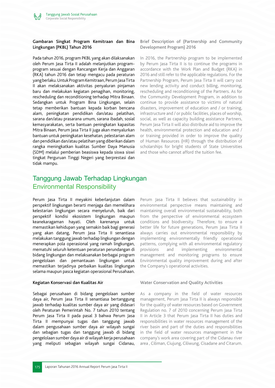#### Gambaran Singkat Program Kemitraan dan Bina Lingkungan (PKBL) Tahun 2016

Pada tahun 2016, program PKBL yang akan dilaksanakan oleh Perum Jasa Tirta II adalah melanjutkan programprogram sesuai dengan Rancangan Kerja dan Anggaran (RKA) tahun 2016 dan tetap mengacu pada peraturan yang berlaku. Untuk Program Kemitraan, Perum Jasa Tirta II akan melaksanakan aktivitas penyaluran pinjaman baru dan melakukan kegiatan penagihan, monitoring, rescheduling dan reconditioning terhadap Mitra Binaan. Sedangkan untuk Program Bina Lingkungan, selain tetap memberikan bantuan kepada korban bencana alam, peningkatan pendidikan dan/atau pelatihan, sarana dan/atau prasarana umum, sarana ibadah, sosial kemasyarakatan, serta bantuan peningkatan kapasitas Mitra Binaan, Perum Jasa Tirta II juga akan menyalurkan bantuan untuk peningkatan kesehatan, pelestarian alam dan pendidikan dan/atau pelatihan yang diberikan dalam rangka meningkatkan kualitas Sumber Daya Manusia (SDM) melalui pemberian beasiswa kepada siswa siswi tingkat Perguruan Tinggi Negeri yang berprestasi dan tidak mampu.

#### Brief Description of (Partnership and Community Development Program) 2016

In 2016, the Partnership program to be implemented by Perum Jasa Tirta II is to continue the programs in accordance with the Work Plan and Budget (RKA) in 2016 and still refer to the applicable regulations. For the Partnership Program, Perum Jasa Tirta II will carry out new lending activity and conduct billing, monitoring, rescheduling and reconditioning of the Partners. As for the Community Development Program, in addition to continue to provide assistance to victims of natural disasters, improvement of education and / or training, infrastructure and / or public facilities, places of worship, social, as well as capacity building assistance Partners, Perum Jasa Tirta II will also distribute aid to improve the health, environmental protection and education and / or training provided in order to improve the quality of Human Resources (HR) through the distribution of scholarships for bright students of State Universities and those who cannot afford the tuition fee.

### Tanggung Jawab Terhadap Lingkungan Environmental Responsibility

Perum Jasa Tirta II meyakini keberlanjutan dalam perspektif lingkungan berarti menjaga dan memelihara kelestarian lingkungan secara menyeluruh, baik dari perspektif kondisi ekosistem lingkungan maupun keanekaragaman hayati. Oleh karenanya untuk memastikan kehidupan yang semakin baik bagi generasi yang akan datang, Perum Jasa Tirta II senantiasa melakukan tanggung jawab terhadap lingkungan dengan menerapkan pola operasional yang ramah lingkungan, mematuhi seluruh ketentuan peraturan perundangan di bidang lingkungan dan melaksanakan berbagai program pengelolaan dan pemantauan lingkungan untuk memastikan terjadinya perbaikan kualitas lingkungan selama maupun pasca kegiatan operasional Perusahaan.

#### Kegiatan Konservasi dan Kualitas Air

Sebagai perusahaan di bidang pengelolaan sumber daya air, Perum Jasa Tirta II senantiasa bertanggung jawab terhadap kualitas sumber daya air yang didasari oleh Peraturan Pemerintah No. 7 tahun 2010 tentang Perum Jasa Tirta II pada pasal 3 bahwa Perum Jasa Tirta II mempunyai tugas dan tanggung jawab dalam pengusahaan sumber daya air wilayah sungai dan sebagian tugas dan tanggung jawab di bidang pengelolaan sumber daya air di wilayah kerja perusahaan yang meliputi sebagian wilayah sungai Cidanau, Perum Jasa Tirta II believes that sustainability in environmental perspective means maintaining and maintaining overall environmental sustainability, both from the perspective of environmental ecosystem conditions and biodiversity. Therefore, to ensure a better life for future generations, Perum Jasa Tirta II always carries out environmental responsibility by implementing environmentally friendly operational patterns, complying with all environmental regulatory provisions and implementing environmental management and monitoring programs to ensure Environmental quality improvement during and after the Company's operational activities.

#### Water Conservation and Quality Activities

As a company in the field of water resources management, Perum Jasa Tirta II is always responsible for the quality of water resources based on Government Regulation no. 7 of 2010 concerning Perum Jasa Tirta II in Article 3 that Perum Jasa Tirta II has duties and responsibilities in water resources management of the river basin and part of the duties and responsibilities in the field of water resources management in the company's work area covering part of the Cidanau river area , Ciliman, Ciujung, Ciliwung, Cisadane and Citarum.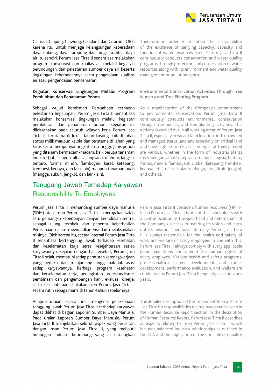

Ciliman, Ciujung, Ciliwung, Cisadane dan Citarum. Oleh karena itu, untuk menjaga kelangsungan keberadaan daya dukung, daya tampung dan fungsi sumber daya air itu sendiri, Perum Jasa Tirta II senantiasa melakukan program konservasi dan kualias air melalui kegiatan perlindungan dan pelestarian sumber daya air beserta lingkungan keberadaannya serta pengelolaan kualitas air atau pengendalian pencemaran.

#### Kegiatan Konservasi Lingkungan Melalui Program Pembibitan dan Penanaman Pohon

Sebagai wujud komitmen Perusahaan terhadap pelestarian lingkungan, Perum Jasa Tirta II senantiasa melakukan konservasi lingkungan melalui kegiatan pembibitan dan penanaman pohon. Kegiatan ini dilaksanakan pada seluruh wilayah kerja Perum Jasa Tirta II, terutama di lokasi lahan kosong baik di lahan status milik maupun kelola dan terutama di lahan yang kritis serta mempunyai tingkat erosi tinggi. Jenis pohon yang ditanam bermacam-macam, baik berupa tanaman industri (jati, sengon, albasia, angsana, mahoni, langsia, bintaro, formis, mindri, flamboyan, karet, ketapang, trembesi, kedoya, dan lain-lain) maupun tanaman buah (mangga, sukun, jengkol, dan lain-lain).

## Tanggung Jawab Terhadap Karyawan Responsibility To Employees

Perum Jasa Tirta II memandang sumber daya manusia (SDM) atau Insan Perum Jasa Tirta II merupakan salah satu pemangku kepentingan dengan kedudukan sentral sebagai ujung tombak dan penentu keberhasilan Perusahaan dalam mewujudkan visi dan melaksanakan misinya. Oleh karena itu, secara internal Perum Jasa Tirta II senantiasa bertanggung jawab terhadap kesehatan dan keselamatan kerja serta kesejahteraan setiap karyawannya. Sejalan dengan hal tersebut, Perum Jasa Tirta II selalu mematuhi setiap peraturan ketenagakerjaan yang berlaku dan menjunjung tinggi hak-hak asasi setiap karyawannya. Berbagai program kesehatan dan kerselamatan kerja, peningkatan profesionalisme, pembinaan dan pengembangan karir, evaluasi kinerja, serta kesejahteraan dilakukan oleh Perum Jasa Tirta II secara rutin sebagaimana di tahun-tahun sebelumnya.

Adapun uraian secara rinci mengenai pelaksanaan tanggung jawab Perum Jasa Tirta II terhadap karyawan dapat dilihat di bagian Laporan Sumber Daya Manusia. Pada uraian Laporan Sumber Daya Manusia, Perum Jasa Tirta II menjelaskan seluruh aspek yang berkaitan dengan Insan Perum Jasa Tirta II, yang meliputi hubungan industri berimbang yang di dituangkan

Therefore, in order to maintain the sustainability of the existence of carrying capacity, capacity and function of water resources itself, Perum Jasa Tirta II continuously conducts conservation and water quality programs through protection and conservation of water resources along with its environment and water quality management or pollution control .

#### Environmental Conservation Activities Through Tree Nursery and Tree Planting Program

As a manifestation of the Company's commitment to environmental conservation, Perum Jasa Tirta II continuously conducts environmental conservation through tree nursery and tree planting activities. This activity is carried out in all working areas of Perum Jasa Tirta II, especially in vacant land location both on owned and managed status land and especially on critical land and have high erosion level. The types of trees planted are various, whether in the form of industrial plants (teak, sengon, albasia, angsana, mahoni, langsia, bintaro, formis, mindri, flamboyant, rubber, ketapang, trembesi, kedoya, etc.) or fruit plants Mango, breadfruit, jengkol, and others).

Perum Jasa Tirta II considers human resources (HR) or Insan Perum Jasa Tirta II is one of the stakeholders with a central position as the spearhead and determinant of the Company's success in realizing its vision and carry out its mission. Therefore, internally Perum Jasa Tirta II is always responsible for the health and safety of work and welfare of every employee. In line with this, Perum Jasa Tirta II always comply with every applicable labor regulations and uphold the human rights of every employee. Various health and safety programs, professionalism, career development and career development, performance evaluation, and welfare are conducted by Perum Jasa Tirta II regularly as in previous years.

The detailed description of the implementation of Perum Jasa Tirta II's responsibilities to employees can be seen in the Human Resource Report section. In the description of Human Resource Report, Perum Jasa Tirta II describes all aspects relating to Insan Perum Jasa Tirta II, which includes balanced industry relationships as outlined in the CLA and the application of the principle of equality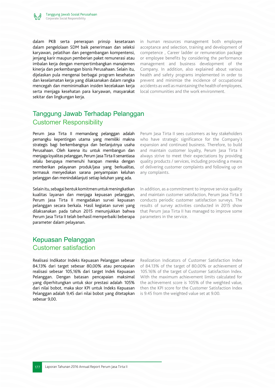

dalam PKB serta penerapan prinsip kesetaraan dalam pengelolaan SDM baik penerimaan dan seleksi karyawan, pelatihan dan pengembangan kompentensi, jenjang karir maupun pemberian paket remunerasi atau imbalan kerja dengan mempertimbangkan manajemen kinerja dan perkembangan bisnis Perusahaan. Selain itu, dijelaskan pula mengenai berbagai program kesehatan dan keselamatan kerja yang dilaksanakan dalam rangka mencegah dan meminimalkan insiden kecelakaan kerja serta menjaga kesehatan para karyawan, masyarakat sekitar dan lingkungan kerja.

in human resources management both employee acceptance and selection, training and development of competence , Career ladder or remuneration package or employee benefits by considering the performance management and business development of the Company. In addition, also explained about various health and safety programs implemented in order to prevent and minimize the incidence of occupational accidents as well as maintaining the health of employees, local communities and the work environment.

### Tanggung Jawab Terhadap Pelanggan Customer Responsibility

Perum Jasa Tirta II memandang pelanggan adalah pemangku kepentingan utama yang memiliki makna strategis bagi berkembangnya dan berlanjutnya usaha Perusahaan. Oleh karena itu untuk membangun dan menjaga loyalitas pelanggan, Perum Jasa Tirta II senantiasa selalu berupaya memenuhi harapan mereka dengan memberikan pelayanan produk/jasa yang berkualitas, termasuk menyediakan sarana penyampaian keluhan pelanggan dan menindaklanjuti setiap keluhan yang ada.

Selain itu, sebagai bentuk komitmen untuk meningkatkan kualitas layanan dan menjaga kepuasan pelanggan, Perum Jasa Tirta II mengadakan survei kepuasan pelanggan secara berkala. Hasil kegiatan survei yang dilaksanakan pada tahun 2015 menunjukkan bahwa Perum Jasa Tirta II telah berhasil memperbaiki beberapa parameter dalam pelayanan.

Perum Jasa Tirta II sees customers as key stakeholders who have strategic significance for the Company's expansion and continued business. Therefore, to build and maintain customer loyalty, Perum Jasa Tirta II always strive to meet their expectations by providing quality products / services, including providing a means of delivering customer complaints and following up on any complaints.

In addition, as a commitment to improve service quality and maintain customer satisfaction, Perum Jasa Tirta II conducts periodic customer satisfaction surveys. The results of survey activities conducted in 2015 show that Perum Jasa Tirta II has managed to improve some parameters in the service.

### Customer satisfaction Kepuasan Pelanggan

Realisasi Indikator Indeks Kepuasan Pelanggan sebesar 84,13% dari target sebesar 80,00% atau pencapaian realisasi sebesar 105,16% dari target Indek Kepuasan Pelanggan. Dengan batasan pencapaian maksimal yang diperhitungkan untuk skor prestasi adalah 105% dari nilai bobot, maka skor KPI untuk Indeks Kepuasan Pelanggan adalah 9,45 dari nilai bobot yang ditetapkan sebesar 9,00.

Realization Indicators of Customer Satisfaction Index of 84.13% of the target of 80.00% or achievement of 105.16% of the target of Customer Satisfaction Index. With the maximum achievement limits calculated for the achievement score is 105% of the weighted value, then the KPI score for the Customer Satisfaction Index is 9.45 from the weighted value set at 9.00.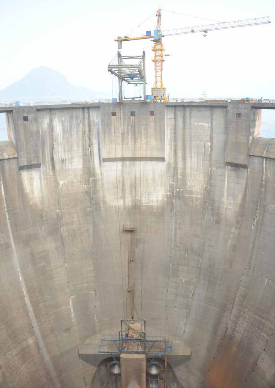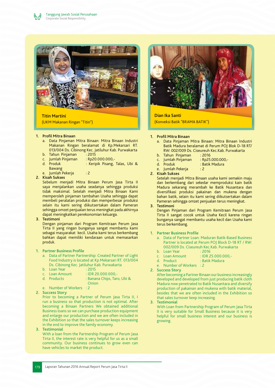

Titin Martini (UKM Makanan Ringan "Titin")

- 1. Profil Mitra Binaan
	- a. Data Pinjaman Mitra Binaan: Mitra Binaan Industri Makanan Ringan beralamat di Kp.Mekarsari RT. 013/004 Ds. Cibinong Kec. Jatiluhur Kab. Purwakarta
	- b. Tahun Pinjaman : 2015
	- c. Jumlah Pinjaman : Rp20.000.000,-
	- d. Produk : Keripik Pisang, Talas, Ubi & Bawang
	- e. Jumlah Pekerja : 2
- 2. Kisah Sukses

Sebelum menjadi Mitra Binaan Perum Jasa Tirta II saya menjalankan usaha seadanya sehingga produksi tidak maksimal. Setelah menjadi Mitra Binaan Kami memperoleh pinjaman tambahan Usaha sehingga dapat membeli peralatan produksi dan memperbesar produksi selain itu kami sering diikutsertakan dalam Pameran sehingga omzet penjualan terus meningkat pada akhirnya dapat meningkatkan perekonomian keluarga.

3. Testimoni

Dengan pinjaman dari Program Kemitraan Perum Jasa Tirta II yang ringan bunganya sangat membantu kami sebagai masyarakat kecil. Usaha kami terus berkembang bahkan dapat memiliki kendaraan untuk memasarkan produk.

#### 1. Partner Business Profile

- a. Data of Partner Partnership: Created Partner of Light Food Industry is located at Kp.Mekarsari RT. 013/004 Ds. Cibinong Kec. Jatiluhur Kab. Purwakarta
- b. Loan Year : 2015<br>c. Loan Amount : IDR 2

c. Loan Amount : IDR 20.000.000,-<br>d Products : Banana Chins. Tare : Banana Chips, Taro, Ubi &

- 
- Onion e. Number of Workers : 2
- 

2. Success Story

Prior to becoming a Partner of Perum Jasa Tirta II, I run a business so that production is not optimal. After becoming a Binaan Partners We obtained additional Business loans so we can purchase production equipment and enlarge our production and we are often included in the Exhibition so that the sales turnover keeps increasing in the end to improve the family economy.

3. Testimonial

With a loan from the Partnership Program of Perum Jasa Tirta II, the interest rate is very helpful for us as a small community. Our business continues to grow even can have vehicles to market the product.



Dian Ika Santi (Konveksi Batik "BRAMA BATIK")

#### 1. Profil Mitra Binaan

a. Data Pinjaman Mitra Binaan: Mitra Binaan Industri Batik Madura beralamat di Perum POJ Blok D-18 RT/ RW: 002/009 Ds. Ciseureuh Kec.Kab. Purwakarta

: Batik Madura

- 
- b. Tahun Pinjaman : 2016<br>c. Jumlah Pinjaman : Ro25.000.000.
- c. Jumlah Pinjaman<br>d. Produk
- e. Jumlah Pekerja : 2

#### 2. Kisah Sukses

Setelah menjadi Mitra Binaan usaha kami semakin maju dan berkembang dari sekedar memproduksi kain batik Madura sekarang merambah ke Batik Nusantara dan diversifikasi produksi pakainan dan mukena dengan bahan batik, selain itu kami sering diikutsertakan dalam Pameran sehingga omzet penjualan terus meningkat.

3. Testimoni

Dengan Pinjaman dari Program Kemitraan Perum Jasa Tirta II sangat cocok untuk Usaha Kecil karena ringan bunganya sangat membantu usaha kecil dan Usaha kami terus berkembang.

- 1. Partner Business Profile
	- a. Data of Partner Loan: Maduran Batik-Based Business Partner is located at Perum POJ Block D-18 RT / RW: 002/009 Ds. Ciseureuh Kec.Kab. Purwakarta
	- b. Loan Year<br>c. Loan Amount
	- c. Loan Amount : IDR 25.000.000,-<br>d Product : Batik Madura
	- d. Product : Batik Madura
	- e. Number of Workers : 2
- 2. Success Story

After becoming a Partner Binaan our business increasingly developed and developed from just producing batik cloth Madura now penetrated to Batik Nusantara and diversify production of pakainan and mukena with batik material, besides that we are often included in the Exhibition so that sales turnover keep increasing.

#### 3. Testimonial

With Loan from Partnership Program of Perum Jasa Tirta II is very suitable for Small Business because it is very helpful for small business interest and our business is growing.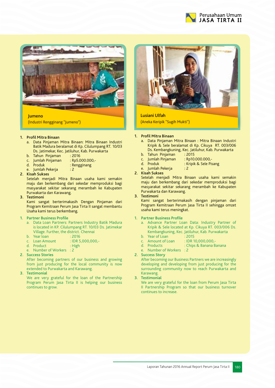



#### 1. Profil Mitra Binaan

- a. Data Pinjaman Mitra Binaan: Mitra Binaan Industri Batik Madura beralamat di Kp. Cilulumpang RT. 10/03 Ds. Jatimekar, Kec. Jatiluhur, Kab. Purwakarta
- 
- b. Tahun Pinjaman : 2016<br>c. Jumlah Pinjaman : Rp5.000.000. c. Jumlah Pinjaman
- d. Produk : Rengginang
- e. Iumlah Pekeria : 2

#### 2. Kisah Sukses

Setelah menjadi Mitra Binaan usaha kami semakin maju dan berkembang dari sekedar memproduksi bagi masyarakat sekitar sekarang merambah ke Kabupaten Purwakarta dan Karawang.

#### 3. Testimoni

Kami sangat berterimakasih Dengan Pinjaman dari Program Kemitraan Perum Jasa Tirta II sangat membantu Usaha kami terus berkembang.

#### 1. Partner Business Profile

- a. Data Loan Partners: Partners Industry Batik Madura is located in KP. Cilulumpang RT. 10/03 Ds. Jatimekar Village. Further, the district. Chennai
- b. Year loan : 2016
- c. Loan Amount : IDR 5,000,000,-
- d. Product : High
- e. Number of Workers : 2
- 2. Success Stories

After becoming partners of our business and growing from just producing for the local community is now extended to Purwakarta and Karawang.

3. Testimonial

We are very grateful for the loan of the Partnership Program Perum Jasa Tirta II is helping our business continues to grow.



Lusiani Ulfah (Aneka Keripik "Sugih Mukti")

#### 1. Profil Mitra Binaan

- a. Data Pinjaman Mitra Binaan : Mitra Binaan Industri Kripik & Sele beralamat di Kp. Cikuya RT. 003/006 Ds. Kembangkuning, Kec. Jatiluhur, Kab. Purwakarta
- b. Tahun Pinjaman : 2015
- c. Jumlah Pinjaman : Rp10.000.000,-<br>d. Produk : Kripik & Sele Pis
	- : Kripik & Sele Pisang<br>: 2
- e. Jumlah Pekeria

#### 2. Kisah Sukses

Setelah menjadi Mitra Binaan usaha kami semakin maju dan berkembang dari sekedar memproduksi bagi masyarakat sekitar sekarang merambah ke Kabupaten Purwakarta dan Karawang.

#### 3. Testimoni

Kami sangat berterimakasih dengan pinjaman dari Program Kemitraan Perum Jasa Tirta II sehingga omzet usaha kami terus meningkat.

#### 1. Partner Business Profile

- a. Advance Partner Loan Data: Industry Partner of Kripik & Sele located at Kp. Cikuya RT. 003/006 Ds. Kembangkuning, Kec. Jatiluhur, Kab. Purwakarta
- b. Year of Loan : 2015<br>c. Amount of Loan : IDR 1
- c. Amount of Loan : IDR 10,000,000,-<br>d. Products : Chips & Banana B
- d. Products : Chips & Banana Banana
- e. Number of Workers : 2
- 2. Success Story

After becoming our Business Partners we are increasingly developing and developing from just producing for the surrounding community now to reach Purwakarta and Karawang.

#### 3. Testimonial

We are very grateful for the loan from Perum Jasa Tirta II Partnership Program so that our business turnover continues to increase.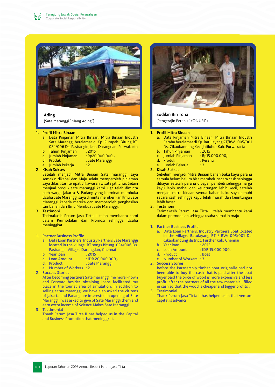

Ading (Sate Maranggi "Mang Ading")

#### 1. Profil Mitra Binaan

- Data Pinjaman Mitra Binaan: Mitra Binaan Industri Sate Maranggi beralamat di Kp. Rumpak Bitung RT. 024/006 Ds. Pasirangin, Kec. Darangdan, Purwakarta
- 
- b. Tahun Pinjaman : 2015<br>c. Jumlah Pinjaman : Rp20.000.000. c. Jumlah Pinjaman
- d. Produk : Sate Maranggi
- e. Jumlah Pekerja : 2
- 2. Kisah Sukses

Setelah menjadi Mitra Binaan Sate maranggi saya semakin dikenal dan Maju selain memperoleh pinjaman saya difasilitasi tempat di kawasan wisata jatiluhur. Selain menjual produk sate maranggi kami juga telah diminta oleh warga Jakarta & Padang yang berminat membuka Usaha Sate Maranggi saya diminta memberikan Ilmu Sate Maranggi kepada mereka dan memperoleh penghasilan tambahan dari Ilmu Membuat Sate Maranggi.

3. Testimoni

Terimakasih Perum Jasa Tirta II telah membantu kami dalam Permodalan dan Promosi sehingga Usaha meninggkat.

- 1. Partner Business Profile
	- Data Loan Partners: Industry Partners Sate Maranggi located in the village. RT songs Bitung. 024/006 Ds. Pasirangin Village. Darangdan, Chennai
	- b. Year loan : 2015<br>c. Loan Amount : IDR 2
	- c. Loan Amount : IDR 20,000,000,-
	- d. Product : Sate Maranggi
	- e. Number of Workers : 2
- 2. Success Stories

After becoming partners Sate maranggi me more known and Forward besides obtaining loans facilitated my place in the tourist area of simulation. In addition to selling satay maranggi we have also asked the citizens of Jakarta and Padang are interested in opening of Sate Maranggi I was asked to give of Sate Maranggi them and earn extra income of Science Makes Sate Maranggi.

3. Testimonial

Thank Perum Jasa Tirta II has helped us in the Capital and Business Promotion that meninggkat.

#### Sodikin Bin Toha (Pengerajin Perahu "KONURI")

#### 1. Profil Mitra Binaan

- a. Data Pinjaman Mitra Binaan: Mitra Binaan Industri Perahu beralamat di Kp. Batulayang RT/RW : 005/001 Ds. Cikaobandung Kec. Jatiluhur Kab. Purwakarta
	-
- b. Tahun Pinjaman : 2015<br>c. Jumlah Pinjaman : Rp15.000.000,c. Jumlah Pinjaman
- d. Produk : Perahu
- e. Jumlah Pekerja : 3
- 2. Kisah Sukses

Sebelum menjadi Mitra Binaan bahan baku kayu perahu semula belum belum bisa membelu secara cash sehingga dibayar setelah perahu dibayar pembeli sehingga harga kayu lebih mahal dan keuntungan lebih kecil, setelah menjadi mitra binaan semua bahan baku saya penuhi secara cash sehingga kayu lebih murah dan keuntungan lebih besar.

3. Testimoni

Terimakasih Perum Jasa Tirta II telah membantu kami dalam permodalan sehingga usaha semakin maju

- 1. Partner Business Profile
	- a. Data Loan Partners: Industry Partners Boat located in the village. Batulayang RT / RW: 005/001 Ds. Cikaobandung district. Further Kab. Chennai
	- b. Year loan<br>c. Loan Amount
		- $:$  IDR 15.000.000,-
	- $\frac{d}{d}$  Product : Boat<br>  $\frac{d}{d}$  Number of Workers : 3
	- e. Number of Workers

2. Success Stories

Before the Partnership timber boat originally had not been able to buy the cash that is paid after the boat buyer paid the price of wood is more expensive and less profit, after the partners of all the raw materials I filled in cash so that the wood is cheaper and bigger profits ,

3. Testimonial

Thank Perum Jasa Tirta II has helped us in that venture capital is advanci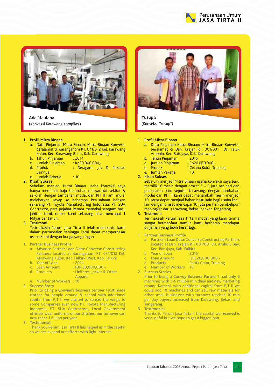



#### Ade Maulana

(Konveksi Karawang Kompilasi)

#### 1. Profil Mitra Binaan

- a. Data Pinjaman Mitra Binaan: Mitra Binaan Konveksi beralamat di Karanganom RT. 071/012 Kel. Karawang Kulon, Kec. Karawang Barat, Kab. Karawang
- 
- b. Tahun Pinjaman : 2014<br>c. Jumlah Pinjaman : Rp30.000.000,-Jumlah Pinjaman
- 
- d. Produk : Seragam, Jas & Pakaian
- Lainnya e. Jumlah Pekerja : 10

#### 2. Kisah Sukses

Sebelum menjadi Mitra Binaan usaha konveksi saya hanya membuat baju kebutuhan masyarakat sekitar & sekolah dengan tambahan modal dari PJT II kami mulai melebarkan sayap ke beberapa Perusahaan bahkan sekarang PT. Toyota Manufacturing Indonesia, PT. SUA Contraktor, para pejabat Pemda memakai seragam hasil jahitan kami, omzet kami sekarang bisa mencapai 1 Milyar per tahun.

#### 3. Testimoni

Terimakasih Perum Jasa Tirta II telah membantu kami dalam permodalan sehingga kami dapat memperbesar usaha kami dengan bunga yang ringan.

- 1. Partner Business Profile
	- a. Advance Partner Loan Data: Converse Constructing Partners located at Karanganom RT. 071/012 Kel. Karawang Kulon, Kec. Falkirk West, Kab. Falkirk
	- Year of Loan
	- c. Loan Amount : IDR 30,000,000,-<br>d. Products : Uniform. lacket &
	- d. Products : Uniform, Jacket & Other Apparel
	- e. Number of Workers : 10
- 2. Success Story

Prior to being a Convien's business partner I just made clothes for people around & school with additional capital from PJT II we started to spread the wings to some Companies even now PT. Toyota Manufacturing Indonesia, PT. SUA Contractors, Local Government officials wear uniforms of our stitches, our turnover can now reach 1 Billion per year.

3. Testimonial

Thank you Perum Jasa Tirta II has helped us in the capital so we can expand our efforts with light interest.



Yusup S (Konveksi "Yusup")

#### 1. Profil Mitra Binaan

- a. Data Pinjaman Mitra Binaan: Mitra Binaan Konveksi beralamat di Dsn. Krajan RT. 001/001 Ds. Teluk Ambulu, Kec. Batujaya, Kab. Karawang
- $\overline{b}$ . Tahun Pinjaman : 2015<br>
c. |umlah Pinjaman : Rp20.000.000.
	- Jumlah Pinjaman
- d. Produk : Celana Kolor, Training
	-
- e. Iumlah Pekeria : 10
- 2. Kisah Sukses

Sebelum menjadi Mitra Binaan usaha konveksi saya baru memiliki 6 mesin dengan omzet 3 – 5 Juta per hari dan pemasaran baru seputar karawang, dengan tambahan modal dari PJT II kami dapat menambah mesin menjadi 10 serta dapat menjual bahan baku kain bagi usaha kecil lain dengan omset mencapai 10 Juta per hari pembelipun meningkat dari Karawang, Bekasi bahkan Tangerang.

#### 3. Testimoni

Terimakasih Perum Jasa Tirta II modal yang kami terima sangat bermanfaat namun kami berharap mendapat pinjaman yang lebih besar lagi.

- 1. Partner Business Profile
	- a. Partner's Loan Data: Converse Constructing Partners located at Dsn. Krajan RT. 001/001 Ds. Ambulu Bay, Kec. Batujaya, Kab. Falkirk
	- b. Year of Loan : 2015<br>c. Loan Amount : IDR 2
	- c. Loan Amount : IDR 20,000,000,-<br>d. Products : Pants Color. Traini
		- : Pants Color, Training
	- e. Number of Workers : 10
- 2. Success Stories

Prior to being a Convoy Business Partner I had only 6 machines with 3-5 million mln daily and new marketing around Karachi, with additional capital from PJT II we could add 10 machines and can sell raw materials for other small businesses with turnover reached 10 mln per day buyers increased from Karawang, Bekasi and Tangerang.

3. Testimonial

Thanks to Perum Jasa Tirta II the capital we received is very useful but we hope to get a bigger loan.